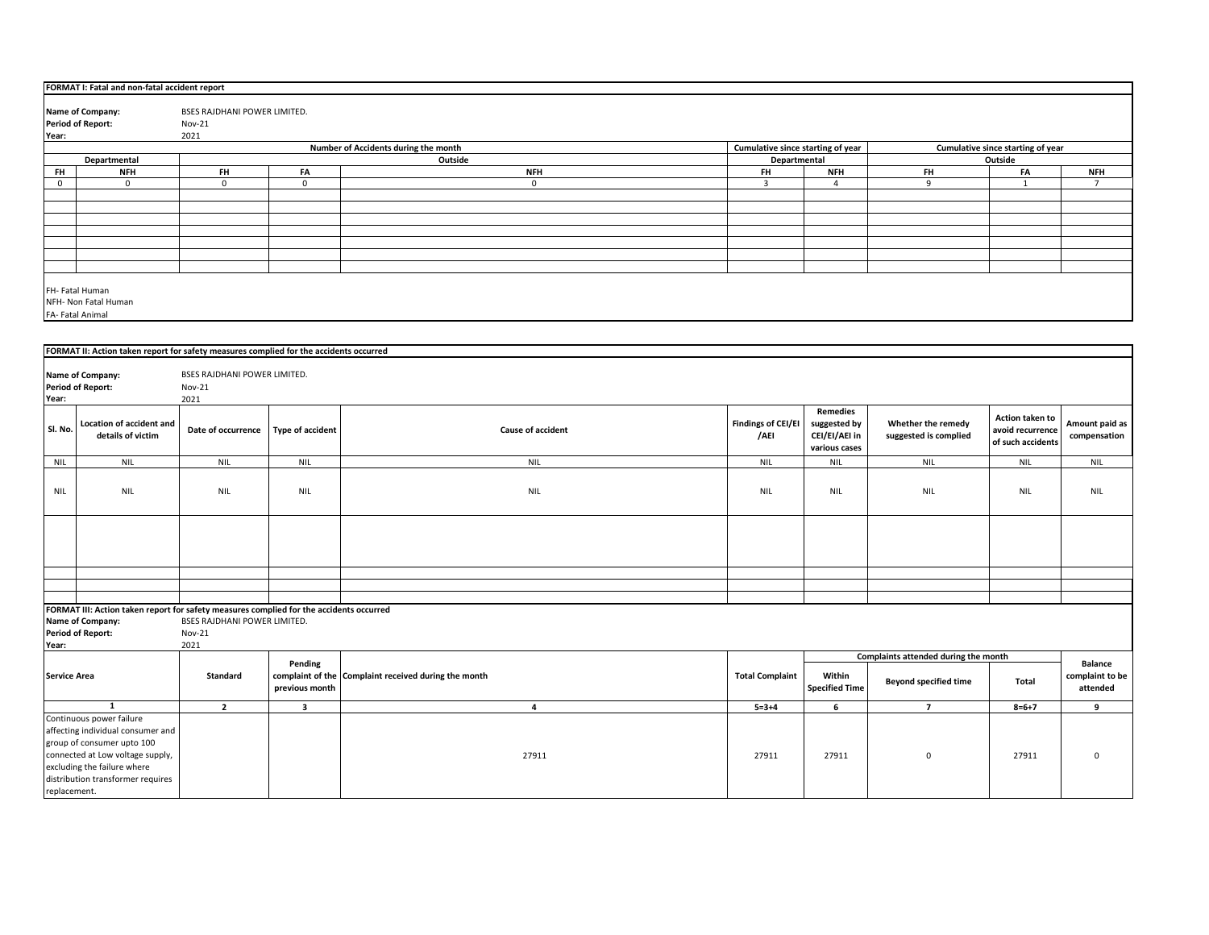|                     | FORMAT I: Fatal and non-fatal accident report                                           |                              |                         |                                                      |                                   |                       |                                      |                                   |                 |
|---------------------|-----------------------------------------------------------------------------------------|------------------------------|-------------------------|------------------------------------------------------|-----------------------------------|-----------------------|--------------------------------------|-----------------------------------|-----------------|
|                     |                                                                                         |                              |                         |                                                      |                                   |                       |                                      |                                   |                 |
|                     | Name of Company:                                                                        | BSES RAJDHANI POWER LIMITED. |                         |                                                      |                                   |                       |                                      |                                   |                 |
|                     | <b>Period of Report:</b>                                                                | $Nov-21$                     |                         |                                                      |                                   |                       |                                      |                                   |                 |
| Year:               |                                                                                         | 2021                         |                         | Number of Accidents during the month                 | Cumulative since starting of year |                       |                                      | Cumulative since starting of year |                 |
|                     | Departmental                                                                            |                              |                         | Outside                                              | Departmental                      |                       |                                      | Outside                           |                 |
| FH                  | <b>NFH</b>                                                                              | FH                           | FA                      | <b>NFH</b>                                           | FH                                | <b>NFH</b>            | <b>FH</b>                            | FA                                | <b>NFH</b>      |
| $\mathbf 0$         | $\mathbf 0$                                                                             | $\mathbf 0$                  | $\mathbf 0$             | $\mathbf 0$                                          | $\overline{\mathbf{3}}$           | $\overline{4}$        | 9                                    | $\mathbf{1}$                      | $7\overline{ }$ |
|                     |                                                                                         |                              |                         |                                                      |                                   |                       |                                      |                                   |                 |
|                     |                                                                                         |                              |                         |                                                      |                                   |                       |                                      |                                   |                 |
|                     |                                                                                         |                              |                         |                                                      |                                   |                       |                                      |                                   |                 |
|                     |                                                                                         |                              |                         |                                                      |                                   |                       |                                      |                                   |                 |
|                     |                                                                                         |                              |                         |                                                      |                                   |                       |                                      |                                   |                 |
|                     |                                                                                         |                              |                         |                                                      |                                   |                       |                                      |                                   |                 |
|                     |                                                                                         |                              |                         |                                                      |                                   |                       |                                      |                                   |                 |
|                     | FH- Fatal Human                                                                         |                              |                         |                                                      |                                   |                       |                                      |                                   |                 |
|                     | NFH- Non Fatal Human                                                                    |                              |                         |                                                      |                                   |                       |                                      |                                   |                 |
|                     | FA-Fatal Animal                                                                         |                              |                         |                                                      |                                   |                       |                                      |                                   |                 |
|                     |                                                                                         |                              |                         |                                                      |                                   |                       |                                      |                                   |                 |
|                     |                                                                                         |                              |                         |                                                      |                                   |                       |                                      |                                   |                 |
|                     | FORMAT II: Action taken report for safety measures complied for the accidents occurred  |                              |                         |                                                      |                                   |                       |                                      |                                   |                 |
|                     |                                                                                         |                              |                         |                                                      |                                   |                       |                                      |                                   |                 |
|                     | Name of Company:                                                                        | BSES RAJDHANI POWER LIMITED. |                         |                                                      |                                   |                       |                                      |                                   |                 |
| Year:               | <b>Period of Report:</b>                                                                | Nov-21<br>2021               |                         |                                                      |                                   |                       |                                      |                                   |                 |
|                     |                                                                                         |                              |                         |                                                      |                                   | <b>Remedies</b>       |                                      |                                   |                 |
|                     | <b>Location of accident and</b>                                                         |                              |                         |                                                      | <b>Findings of CEI/EI</b>         | suggested by          | Whether the remedy                   | Action taken to                   | Amount paid as  |
| Sl. No.             | details of victim                                                                       | Date of occurrence           | <b>Type of accident</b> | <b>Cause of accident</b>                             | /AEI                              | CEI/EI/AEI in         | suggested is complied                | avoid recurrence                  | compensation    |
|                     |                                                                                         |                              |                         |                                                      |                                   | various cases         |                                      | of such accidents                 |                 |
| <b>NIL</b>          | <b>NIL</b>                                                                              | <b>NIL</b>                   | <b>NIL</b>              | <b>NIL</b>                                           | <b>NIL</b>                        | <b>NIL</b>            | <b>NIL</b>                           | <b>NIL</b>                        | <b>NIL</b>      |
|                     |                                                                                         |                              |                         |                                                      |                                   |                       |                                      |                                   |                 |
| <b>NIL</b>          | <b>NIL</b>                                                                              | <b>NIL</b>                   | <b>NIL</b>              | <b>NIL</b>                                           | <b>NIL</b>                        | <b>NIL</b>            | <b>NIL</b>                           | <b>NIL</b>                        | <b>NIL</b>      |
|                     |                                                                                         |                              |                         |                                                      |                                   |                       |                                      |                                   |                 |
|                     |                                                                                         |                              |                         |                                                      |                                   |                       |                                      |                                   |                 |
|                     |                                                                                         |                              |                         |                                                      |                                   |                       |                                      |                                   |                 |
|                     |                                                                                         |                              |                         |                                                      |                                   |                       |                                      |                                   |                 |
|                     |                                                                                         |                              |                         |                                                      |                                   |                       |                                      |                                   |                 |
|                     |                                                                                         |                              |                         |                                                      |                                   |                       |                                      |                                   |                 |
|                     |                                                                                         |                              |                         |                                                      |                                   |                       |                                      |                                   |                 |
|                     |                                                                                         |                              |                         |                                                      |                                   |                       |                                      |                                   |                 |
|                     | FORMAT III: Action taken report for safety measures complied for the accidents occurred |                              |                         |                                                      |                                   |                       |                                      |                                   |                 |
|                     | Name of Company:                                                                        | BSES RAJDHANI POWER LIMITED. |                         |                                                      |                                   |                       |                                      |                                   |                 |
|                     | <b>Period of Report:</b>                                                                | Nov-21                       |                         |                                                      |                                   |                       |                                      |                                   |                 |
| Year:               |                                                                                         | 2021                         |                         |                                                      |                                   |                       |                                      |                                   |                 |
|                     |                                                                                         |                              | Pending                 |                                                      |                                   |                       | Complaints attended during the month |                                   | <b>Balance</b>  |
| <b>Service Area</b> |                                                                                         | Standard                     |                         | complaint of the Complaint received during the month | <b>Total Complaint</b>            | Within                |                                      |                                   | complaint to be |
|                     |                                                                                         |                              | previous month          |                                                      |                                   | <b>Specified Time</b> | <b>Beyond specified time</b>         | Total                             | attended        |
|                     |                                                                                         |                              |                         |                                                      |                                   |                       |                                      |                                   |                 |
|                     | $\mathbf 1$                                                                             | $\overline{2}$               | 3                       | 4                                                    | $5 = 3 + 4$                       | 6                     | $\overline{7}$                       | $8 = 6 + 7$                       | 9               |
|                     | Continuous power failure                                                                |                              |                         |                                                      |                                   |                       |                                      |                                   |                 |
|                     | affecting individual consumer and                                                       |                              |                         |                                                      |                                   |                       |                                      |                                   |                 |
|                     | group of consumer upto 100                                                              |                              |                         | 27911                                                |                                   |                       |                                      |                                   | $\Omega$        |
|                     | connected at Low voltage supply,<br>excluding the failure where                         |                              |                         |                                                      | 27911                             | 27911                 | $\mathbf 0$                          | 27911                             |                 |
|                     | distribution transformer requires                                                       |                              |                         |                                                      |                                   |                       |                                      |                                   |                 |
| replacement.        |                                                                                         |                              |                         |                                                      |                                   |                       |                                      |                                   |                 |
|                     |                                                                                         |                              |                         |                                                      |                                   |                       |                                      |                                   |                 |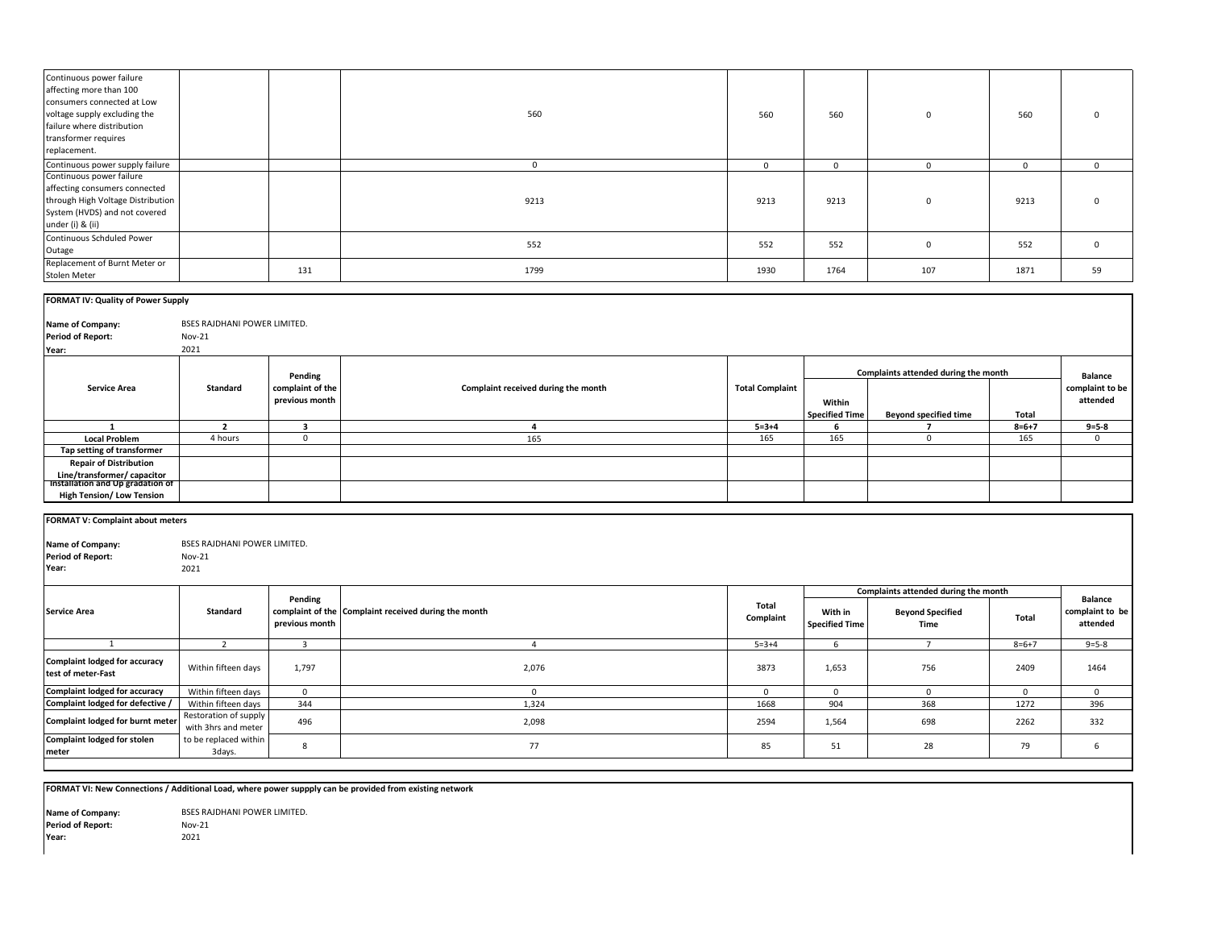| Continuous power failure<br>affecting more than 100<br>consumers connected at Low<br>voltage supply excluding the<br>failure where distribution<br>transformer requires<br>replacement. |                              | 560          | 560          | 560         | $\mathbf{0}$ | 560          | $\Omega$     |
|-----------------------------------------------------------------------------------------------------------------------------------------------------------------------------------------|------------------------------|--------------|--------------|-------------|--------------|--------------|--------------|
| Continuous power supply failure                                                                                                                                                         |                              | $\mathbf{0}$ | $\mathbf{0}$ | $\mathbf 0$ | $\Omega$     | $\mathbf{0}$ | $\mathbf{0}$ |
| Continuous power failure<br>affecting consumers connected<br>through High Voltage Distribution<br>System (HVDS) and not covered<br>under (i) & (ii)                                     |                              | 9213         | 9213         | 9213        | $\mathbf 0$  | 9213         | $\Omega$     |
| Continuous Schduled Power<br>Outage                                                                                                                                                     |                              | 552          | 552          | 552         | $\mathbf 0$  | 552          | $\mathbf 0$  |
| Replacement of Burnt Meter or<br>Stolen Meter                                                                                                                                           | 131                          | 1799         | 1930         | 1764        | 107          | 1871         | 59           |
| <b>FORMAT IV: Quality of Power Supply</b>                                                                                                                                               |                              |              |              |             |              |              |              |
|                                                                                                                                                                                         |                              |              |              |             |              |              |              |
| Name of Company:                                                                                                                                                                        | BSES RAJDHANI POWER LIMITED. |              |              |             |              |              |              |
| <b>Period of Report:</b>                                                                                                                                                                | Nov-21                       |              |              |             |              |              |              |
| Year:                                                                                                                                                                                   | 2021                         |              |              |             |              |              |              |

|                                  |          | Pending          |                                     |                        |                       | Complaints attended during the month |             | Balance         |
|----------------------------------|----------|------------------|-------------------------------------|------------------------|-----------------------|--------------------------------------|-------------|-----------------|
| <b>Service Area</b>              | Standard | complaint of the | Complaint received during the month | <b>Total Complaint</b> |                       |                                      |             | complaint to be |
|                                  |          | previous month   |                                     |                        | Within                |                                      |             | attended        |
|                                  |          |                  |                                     |                        | <b>Specified Time</b> | <b>Beyond specified time</b>         | Total       |                 |
|                                  |          |                  |                                     | $5 = 3 + 4$            |                       |                                      | $8 = 6 + 7$ | $9 = 5 - 8$     |
| <b>Local Problem</b>             | 4 hours  |                  | 165                                 | 165                    | 165                   |                                      | 165         |                 |
| Tap setting of transformer       |          |                  |                                     |                        |                       |                                      |             |                 |
| <b>Repair of Distribution</b>    |          |                  |                                     |                        |                       |                                      |             |                 |
| Line/transformer/ capacitor      |          |                  |                                     |                        |                       |                                      |             |                 |
| Installation and Up gradation of |          |                  |                                     |                        |                       |                                      |             |                 |
| <b>High Tension/ Low Tension</b> |          |                  |                                     |                        |                       |                                      |             |                 |

| <b>FORMAT V: Complaint about meters</b>                      |                                                              |                           |                                                      |                    |                                  |                                                                         |              |                                               |
|--------------------------------------------------------------|--------------------------------------------------------------|---------------------------|------------------------------------------------------|--------------------|----------------------------------|-------------------------------------------------------------------------|--------------|-----------------------------------------------|
| <b>Name of Company:</b><br><b>Period of Report:</b><br>Year: | <b>BSES RAJDHANI POWER LIMITED.</b><br><b>Nov-21</b><br>2021 |                           |                                                      |                    |                                  |                                                                         |              |                                               |
| <b>Service Area</b>                                          | Standard                                                     | Pending<br>previous month | complaint of the Complaint received during the month | Total<br>Complaint | With in<br><b>Specified Time</b> | Complaints attended during the month<br><b>Beyond Specified</b><br>Time | <b>Total</b> | <b>Balance</b><br>complaint to be<br>attended |
|                                                              |                                                              | 3                         |                                                      | $5 = 3 + 4$        | h                                |                                                                         | $8 = 6 + 7$  | $9 = 5 - 8$                                   |
| Complaint lodged for accuracy<br>test of meter-Fast          | Within fifteen days                                          | 1,797                     | 2,076                                                | 3873               | 1,653                            | 756                                                                     | 2409         | 1464                                          |
| <b>Complaint lodged for accuracy</b>                         | Within fifteen days                                          | $\mathbf{0}$              |                                                      | $\Omega$           | $\Omega$                         | $\Omega$                                                                | $\Omega$     | $\Omega$                                      |
| Complaint lodged for defective /                             | Within fifteen days                                          | 344                       | 1,324                                                | 1668               | 904                              | 368                                                                     | 1272         | 396                                           |
| Complaint lodged for burnt meter                             | Restoration of supply<br>with 3hrs and meter                 | 496                       | 2,098                                                | 2594               | 1,564                            | 698                                                                     | 2262         | 332                                           |
| <b>Complaint lodged for stolen</b><br>meter                  | to be replaced within<br>3days.                              | 8                         | 77                                                   | 85                 | 51                               | 28                                                                      | 79           | 6                                             |

**FORMAT VI: New Connections / Additional Load, where power suppply can be provided from existing network**

Nov-21 **Year:** 2021 **Name of Company:** BSES RAJDHANI POWER LIMITED. **Period of Report:**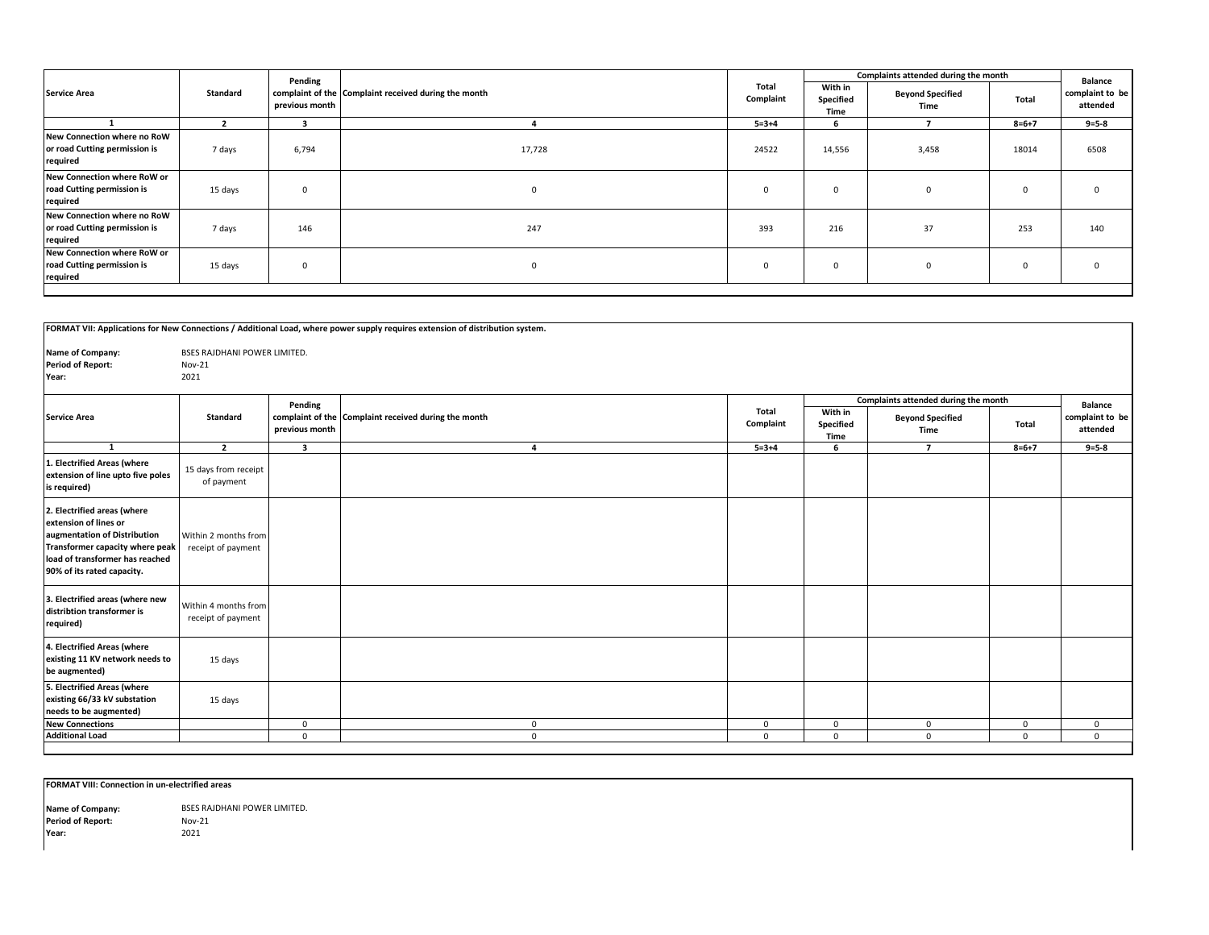|                                                                          |          | Pending        |                                                      |                    |                              | Complaints attended during the month |             | Balance                     |
|--------------------------------------------------------------------------|----------|----------------|------------------------------------------------------|--------------------|------------------------------|--------------------------------------|-------------|-----------------------------|
| <b>Service Area</b>                                                      | Standard | previous month | complaint of the Complaint received during the month | Total<br>Complaint | With in<br>Specified<br>Time | <b>Beyond Specified</b><br>Time      | Total       | complaint to be<br>attended |
|                                                                          |          |                |                                                      | $5 = 3 + 4$        | 6                            |                                      | $8 = 6 + 7$ | $9 = 5 - 8$                 |
| New Connection where no RoW<br>or road Cutting permission is<br>required | 7 days   | 6,794          | 17,728                                               | 24522              | 14,556                       | 3,458                                | 18014       | 6508                        |
| New Connection where RoW or<br>road Cutting permission is<br>required    | 15 days  |                | $^{\circ}$                                           | 0                  | 0                            |                                      | $\mathbf 0$ |                             |
| New Connection where no RoW<br>or road Cutting permission is<br>required | 7 days   | 146            | 247                                                  | 393                | 216                          | 37                                   | 253         | 140                         |
| New Connection where RoW or<br>road Cutting permission is<br>required    | 15 days  |                | $\mathbf 0$                                          | $\mathbf 0$        | 0                            |                                      | $\mathbf 0$ |                             |

|                                                                                                                                                                                          |                                            |                         | FORMAT VII: Applications for New Connections / Additional Load, where power supply requires extension of distribution system. |                    |                              |                                      |              |                             |
|------------------------------------------------------------------------------------------------------------------------------------------------------------------------------------------|--------------------------------------------|-------------------------|-------------------------------------------------------------------------------------------------------------------------------|--------------------|------------------------------|--------------------------------------|--------------|-----------------------------|
| Name of Company:                                                                                                                                                                         | BSES RAJDHANI POWER LIMITED.               |                         |                                                                                                                               |                    |                              |                                      |              |                             |
| <b>Period of Report:</b>                                                                                                                                                                 | <b>Nov-21</b>                              |                         |                                                                                                                               |                    |                              |                                      |              |                             |
| Year:                                                                                                                                                                                    | 2021                                       |                         |                                                                                                                               |                    |                              |                                      |              |                             |
|                                                                                                                                                                                          |                                            |                         |                                                                                                                               |                    |                              |                                      |              |                             |
|                                                                                                                                                                                          |                                            | Pending                 |                                                                                                                               |                    |                              | Complaints attended during the month |              | <b>Balance</b>              |
| <b>Service Area</b>                                                                                                                                                                      | Standard                                   | previous month          | complaint of the Complaint received during the month                                                                          | Total<br>Complaint | With in<br>Specified<br>Time | <b>Beyond Specified</b><br>Time      | Total        | complaint to be<br>attended |
| $\mathbf{1}$                                                                                                                                                                             | $\overline{2}$                             | $\overline{\mathbf{3}}$ | 4                                                                                                                             | $5 = 3 + 4$        | 6                            | $\overline{7}$                       | $8 = 6 + 7$  | $9 = 5 - 8$                 |
| 1. Electrified Areas (where<br>extension of line upto five poles<br>is required)                                                                                                         | 15 days from receipt<br>of payment         |                         |                                                                                                                               |                    |                              |                                      |              |                             |
| 2. Electrified areas (where<br>extension of lines or<br>augmentation of Distribution<br>Transformer capacity where peak<br>load of transformer has reached<br>90% of its rated capacity. | Within 2 months from<br>receipt of payment |                         |                                                                                                                               |                    |                              |                                      |              |                             |
| 3. Electrified areas (where new<br>distribtion transformer is<br>required)                                                                                                               | Within 4 months from<br>receipt of payment |                         |                                                                                                                               |                    |                              |                                      |              |                             |
| 4. Electrified Areas (where<br>existing 11 KV network needs to<br>be augmented)                                                                                                          | 15 days                                    |                         |                                                                                                                               |                    |                              |                                      |              |                             |
| 5. Electrified Areas (where<br>existing 66/33 kV substation<br>needs to be augmented)                                                                                                    | 15 days                                    |                         |                                                                                                                               |                    |                              |                                      |              |                             |
| <b>New Connections</b>                                                                                                                                                                   |                                            | $\mathbf 0$             | $\mathbf{0}$                                                                                                                  | $\mathbf 0$        | $\mathsf 0$                  | $\mathbf{0}$                         | $\mathbf{0}$ | 0                           |
| <b>Additional Load</b>                                                                                                                                                                   |                                            | $\mathbf 0$             | $\mathbf{0}$                                                                                                                  | $\Omega$           | $\mathbf{0}$                 | $\mathbf{0}$                         | $\Omega$     | $\mathbf{0}$                |
|                                                                                                                                                                                          |                                            |                         |                                                                                                                               |                    |                              |                                      |              |                             |

**FORMAT VIII: Connection in un-electrified areas**

Nov-21 **Year:** 2021 **Period of Report: Name of Company:** BSES RAJDHANI POWER LIMITED.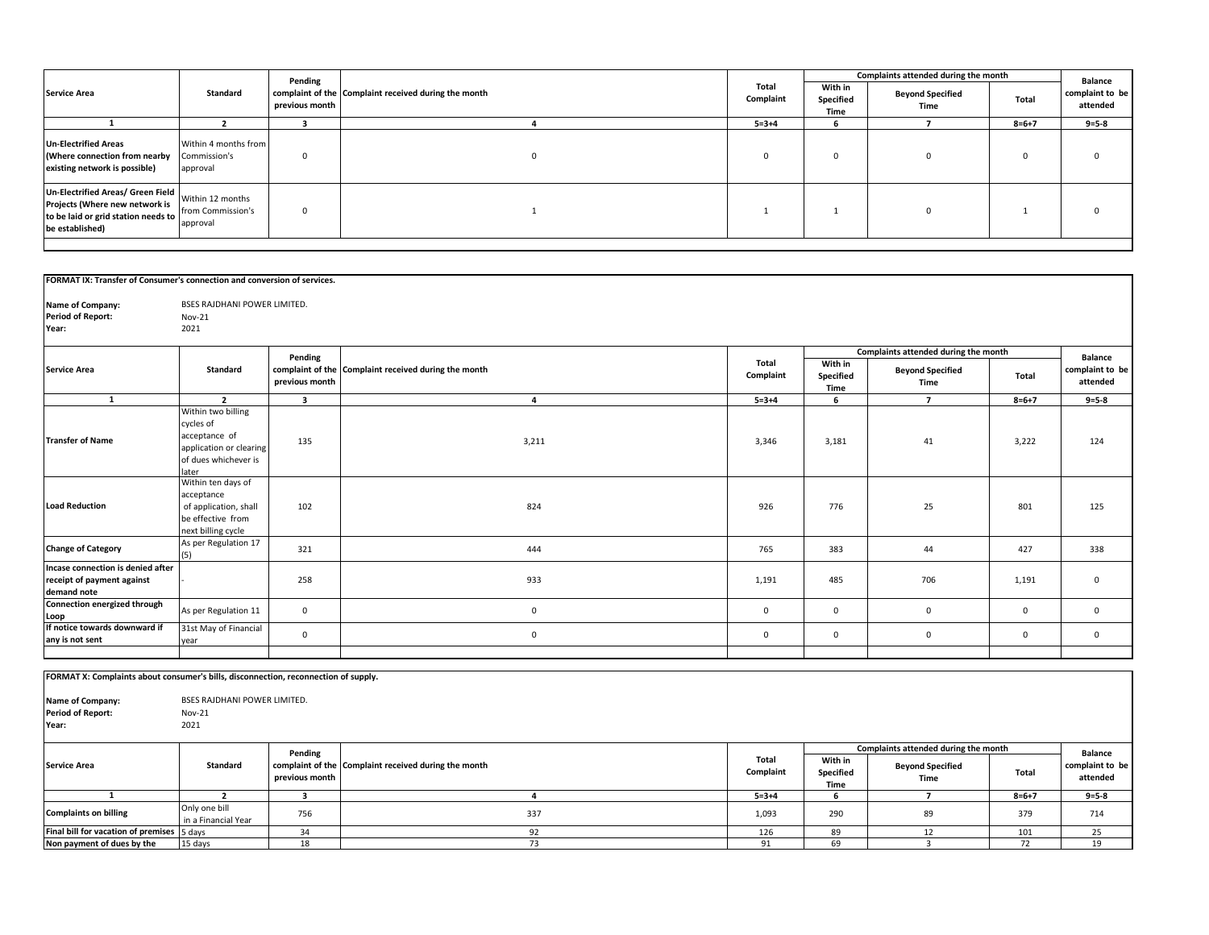|                                                                                                                               |                                                   | Pending        |                                                      |                    |                              | Complaints attended during the month |             | <b>Balance</b>              |
|-------------------------------------------------------------------------------------------------------------------------------|---------------------------------------------------|----------------|------------------------------------------------------|--------------------|------------------------------|--------------------------------------|-------------|-----------------------------|
| <b>Service Area</b>                                                                                                           | Standard                                          | previous month | complaint of the Complaint received during the month | Total<br>Complaint | With in<br>Specified<br>Time | <b>Beyond Specified</b><br>Time      | Total       | complaint to be<br>attended |
|                                                                                                                               |                                                   |                |                                                      | $5 = 3 + 4$        |                              |                                      | $8 = 6 + 7$ | $9 = 5 - 8$                 |
| <b>Un-Electrified Areas</b><br>(Where connection from nearby<br>existing network is possible)                                 | Within 4 months from<br>Commission's<br>approval  |                |                                                      | $\Omega$           |                              |                                      |             |                             |
| Un-Electrified Areas/ Green Field<br>Projects (Where new network is<br>to be laid or grid station needs to<br>be established) | Within 12 months<br>from Commission's<br>approval | $\Omega$       |                                                      |                    |                              |                                      |             |                             |

| FORMAT IX: Transfer of Consumer's connection and conversion of services.            |                               |                         |                                                      |              |             |                                      |             |                             |
|-------------------------------------------------------------------------------------|-------------------------------|-------------------------|------------------------------------------------------|--------------|-------------|--------------------------------------|-------------|-----------------------------|
| Name of Company:                                                                    | BSES RAJDHANI POWER LIMITED.  |                         |                                                      |              |             |                                      |             |                             |
| <b>Period of Report:</b>                                                            | Nov-21                        |                         |                                                      |              |             |                                      |             |                             |
| Year:                                                                               | 2021                          |                         |                                                      |              |             |                                      |             |                             |
|                                                                                     |                               |                         |                                                      |              |             |                                      |             |                             |
|                                                                                     |                               | Pending                 |                                                      |              |             | Complaints attended during the month |             | <b>Balance</b>              |
| <b>Service Area</b>                                                                 | <b>Standard</b>               |                         | complaint of the Complaint received during the month | Total        | With in     | <b>Beyond Specified</b>              |             | complaint to be             |
|                                                                                     |                               | previous month          |                                                      | Complaint    | Specified   | Time                                 | Total       | attended                    |
|                                                                                     |                               |                         |                                                      |              | Time        |                                      |             |                             |
| $\mathbf{1}$                                                                        | $\overline{2}$                | $\overline{\mathbf{3}}$ | $\overline{\mathbf{4}}$                              | $5 = 3 + 4$  | 6           | $\overline{7}$                       | $8 = 6 + 7$ | $9 = 5 - 8$                 |
|                                                                                     | Within two billing            |                         |                                                      |              |             |                                      |             |                             |
|                                                                                     | cycles of                     |                         |                                                      |              |             |                                      |             |                             |
| <b>Transfer of Name</b>                                                             | acceptance of                 | 135                     | 3,211                                                | 3,346        | 3,181       | 41                                   | 3,222       | 124                         |
|                                                                                     | application or clearing       |                         |                                                      |              |             |                                      |             |                             |
|                                                                                     | of dues whichever is<br>later |                         |                                                      |              |             |                                      |             |                             |
|                                                                                     | Within ten days of            |                         |                                                      |              |             |                                      |             |                             |
|                                                                                     | acceptance                    |                         |                                                      |              |             |                                      |             |                             |
| <b>Load Reduction</b>                                                               | of application, shall         | 102                     | 824                                                  | 926          | 776         | 25                                   | 801         | 125                         |
|                                                                                     | be effective from             |                         |                                                      |              |             |                                      |             |                             |
|                                                                                     | next billing cycle            |                         |                                                      |              |             |                                      |             |                             |
|                                                                                     | As per Regulation 17          |                         |                                                      |              |             |                                      |             |                             |
| <b>Change of Category</b>                                                           |                               | 321                     | 444                                                  | 765          | 383         | 44                                   | 427         | 338                         |
| Incase connection is denied after                                                   |                               |                         |                                                      |              |             |                                      |             |                             |
| receipt of payment against                                                          |                               | 258                     | 933                                                  | 1,191        | 485         | 706                                  | 1,191       | $\mathsf 0$                 |
| demand note                                                                         |                               |                         |                                                      |              |             |                                      |             |                             |
| Connection energized through                                                        | As per Regulation 11          | $\mathbf 0$             | $\mathsf 0$                                          | $\mathbf 0$  | $\mathbf 0$ | $\mathbf 0$                          | $\mathsf 0$ | 0                           |
| Loop                                                                                |                               |                         |                                                      |              |             |                                      |             |                             |
| If notice towards downward if                                                       | 31st May of Financial         | $\mathbf 0$             | $\mathbf 0$                                          | $\mathbf 0$  | $\mathsf 0$ | $\mathbf 0$                          | $\mathbf 0$ | $\mathsf 0$                 |
| any is not sent                                                                     | year                          |                         |                                                      |              |             |                                      |             |                             |
|                                                                                     |                               |                         |                                                      |              |             |                                      |             |                             |
| FORMAT X: Complaints about consumer's bills, disconnection, reconnection of supply. |                               |                         |                                                      |              |             |                                      |             |                             |
|                                                                                     |                               |                         |                                                      |              |             |                                      |             |                             |
| Name of Company:                                                                    | BSES RAJDHANI POWER LIMITED.  |                         |                                                      |              |             |                                      |             |                             |
| <b>Period of Report:</b>                                                            | Nov-21                        |                         |                                                      |              |             |                                      |             |                             |
| Year:                                                                               | 2021                          |                         |                                                      |              |             |                                      |             |                             |
|                                                                                     |                               |                         |                                                      |              |             |                                      |             |                             |
|                                                                                     |                               |                         |                                                      |              |             | Complaints attended during the month |             |                             |
|                                                                                     |                               | Pending                 |                                                      | <b>Total</b> | With in     |                                      |             | <b>Balance</b>              |
| <b>Service Area</b>                                                                 | <b>Standard</b>               | previous month          | complaint of the Complaint received during the month | Complaint    | Specified   | <b>Beyond Specified</b>              | Total       | complaint to be<br>attended |
|                                                                                     |                               |                         |                                                      |              | Time        | Time                                 |             |                             |
| $\mathbf{1}$                                                                        | $\overline{2}$                | $\overline{\mathbf{3}}$ | $\overline{a}$                                       | $5 = 3 + 4$  | 6           | $\overline{7}$                       | $8 = 6 + 7$ | $9 = 5 - 8$                 |
| <b>Complaints on billing</b>                                                        | Only one bill                 | 756                     | 337                                                  | 1,093        | 290         | 89                                   | 379         | 714                         |
|                                                                                     | in a Financial Year           |                         |                                                      |              |             |                                      |             |                             |
| Final bill for vacation of premises 5 days                                          |                               | 34                      | 92                                                   | 126          | 89          | 12                                   | 101         | 25                          |
| Non payment of dues by the                                                          | 15 days                       | 18                      | 73                                                   | 91           | 69          | $\overline{3}$                       | 72          | 19                          |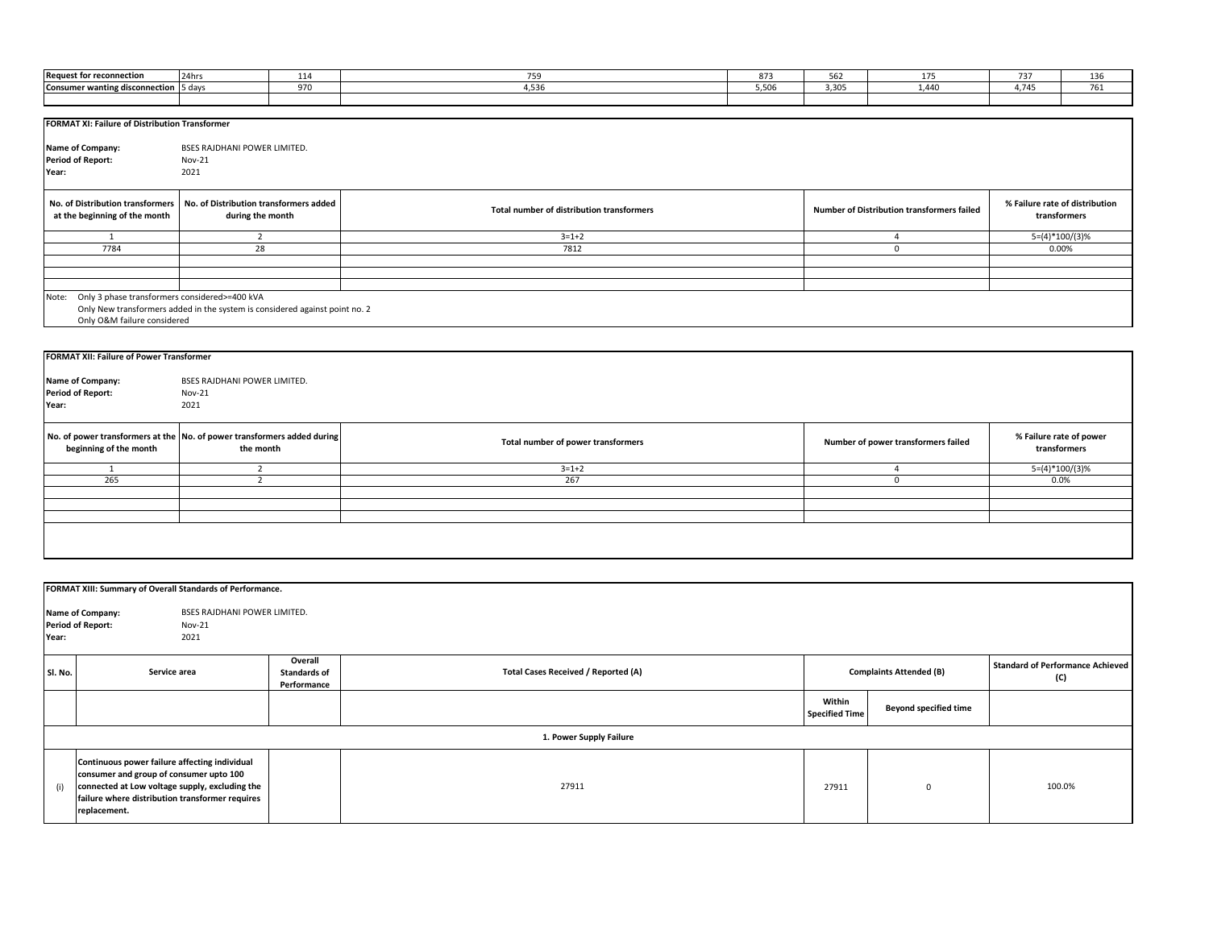| <b>Request for reconnection</b>                        | 24hrs<br>114                                                                | 759                                       | 873   | 562   | 175                                        | 737                            | 136              |
|--------------------------------------------------------|-----------------------------------------------------------------------------|-------------------------------------------|-------|-------|--------------------------------------------|--------------------------------|------------------|
| Consumer wanting disconnection 5 days                  | 970                                                                         | 4,536                                     | 5,506 | 3,305 | 1,440                                      | 4,745                          | 761              |
|                                                        |                                                                             |                                           |       |       |                                            |                                |                  |
|                                                        |                                                                             |                                           |       |       |                                            |                                |                  |
| <b>FORMAT XI: Failure of Distribution Transformer</b>  |                                                                             |                                           |       |       |                                            |                                |                  |
|                                                        |                                                                             |                                           |       |       |                                            |                                |                  |
| <b>Name of Company:</b>                                | BSES RAJDHANI POWER LIMITED.                                                |                                           |       |       |                                            |                                |                  |
| <b>Period of Report:</b>                               | <b>Nov-21</b>                                                               |                                           |       |       |                                            |                                |                  |
| Year:                                                  | 2021                                                                        |                                           |       |       |                                            |                                |                  |
|                                                        |                                                                             |                                           |       |       |                                            |                                |                  |
| No. of Distribution transformers                       | No. of Distribution transformers added                                      |                                           |       |       |                                            | % Failure rate of distribution |                  |
| at the beginning of the month                          | during the month                                                            | Total number of distribution transformers |       |       | Number of Distribution transformers failed |                                | transformers     |
|                                                        |                                                                             |                                           |       |       |                                            |                                |                  |
| $\mathbf{1}$                                           | $\overline{2}$                                                              | $3 = 1 + 2$                               |       |       | $\overline{a}$                             |                                | $5=(4)*100/(3)%$ |
| 7784                                                   | 28                                                                          | 7812                                      |       |       | $\mathbf 0$                                | 0.00%                          |                  |
|                                                        |                                                                             |                                           |       |       |                                            |                                |                  |
|                                                        |                                                                             |                                           |       |       |                                            |                                |                  |
|                                                        |                                                                             |                                           |       |       |                                            |                                |                  |
| Only 3 phase transformers considered>=400 kVA<br>Note: |                                                                             |                                           |       |       |                                            |                                |                  |
|                                                        | Only New transformers added in the system is considered against point no. 2 |                                           |       |       |                                            |                                |                  |
| Only O&M failure considered                            |                                                                             |                                           |       |       |                                            |                                |                  |
|                                                        |                                                                             |                                           |       |       |                                            |                                |                  |
|                                                        |                                                                             |                                           |       |       |                                            |                                |                  |
| <b>FORMAT XII: Failure of Power Transformer</b>        |                                                                             |                                           |       |       |                                            |                                |                  |
|                                                        |                                                                             |                                           |       |       |                                            |                                |                  |
| Name of Company:                                       | BSES RAJDHANI POWER LIMITED.                                                |                                           |       |       |                                            |                                |                  |
| <b>Period of Report:</b>                               | <b>Nov-21</b>                                                               |                                           |       |       |                                            |                                |                  |
| Year:                                                  | 2021                                                                        |                                           |       |       |                                            |                                |                  |
|                                                        |                                                                             |                                           |       |       |                                            |                                |                  |
|                                                        | No. of power transformers at the No. of power transformers added during     |                                           |       |       |                                            | % Failure rate of power        |                  |
| beginning of the month                                 | the month                                                                   | Total number of power transformers        |       |       | Number of power transformers failed        | transformers                   |                  |
|                                                        |                                                                             |                                           |       |       |                                            |                                |                  |
|                                                        | $\overline{2}$                                                              | $3 = 1 + 2$                               |       |       | $\Delta$                                   |                                | $5=(4)*100/(3)%$ |
| 265                                                    | 2                                                                           | 267                                       |       |       | $\mathbf{0}$                               | 0.0%                           |                  |

|         | FORMAT XIII: Summary of Overall Standards of Performance.                                                                                                                                                     |                                               |                                     |                                 |                                |                                                |
|---------|---------------------------------------------------------------------------------------------------------------------------------------------------------------------------------------------------------------|-----------------------------------------------|-------------------------------------|---------------------------------|--------------------------------|------------------------------------------------|
| Year:   | BSES RAJDHANI POWER LIMITED.<br>Name of Company:<br><b>Period of Report:</b><br><b>Nov-21</b><br>2021                                                                                                         |                                               |                                     |                                 |                                |                                                |
| SI. No. | Service area                                                                                                                                                                                                  | Overall<br><b>Standards of</b><br>Performance | Total Cases Received / Reported (A) |                                 | <b>Complaints Attended (B)</b> | <b>Standard of Performance Achieved</b><br>(C) |
|         |                                                                                                                                                                                                               |                                               |                                     | Within<br><b>Specified Time</b> | <b>Beyond specified time</b>   |                                                |
|         |                                                                                                                                                                                                               |                                               | 1. Power Supply Failure             |                                 |                                |                                                |
| (i)     | Continuous power failure affecting individual<br>consumer and group of consumer upto 100<br>connected at Low voltage supply, excluding the<br>failure where distribution transformer requires<br>replacement. |                                               | 27911                               | 27911                           | $\Omega$                       | 100.0%                                         |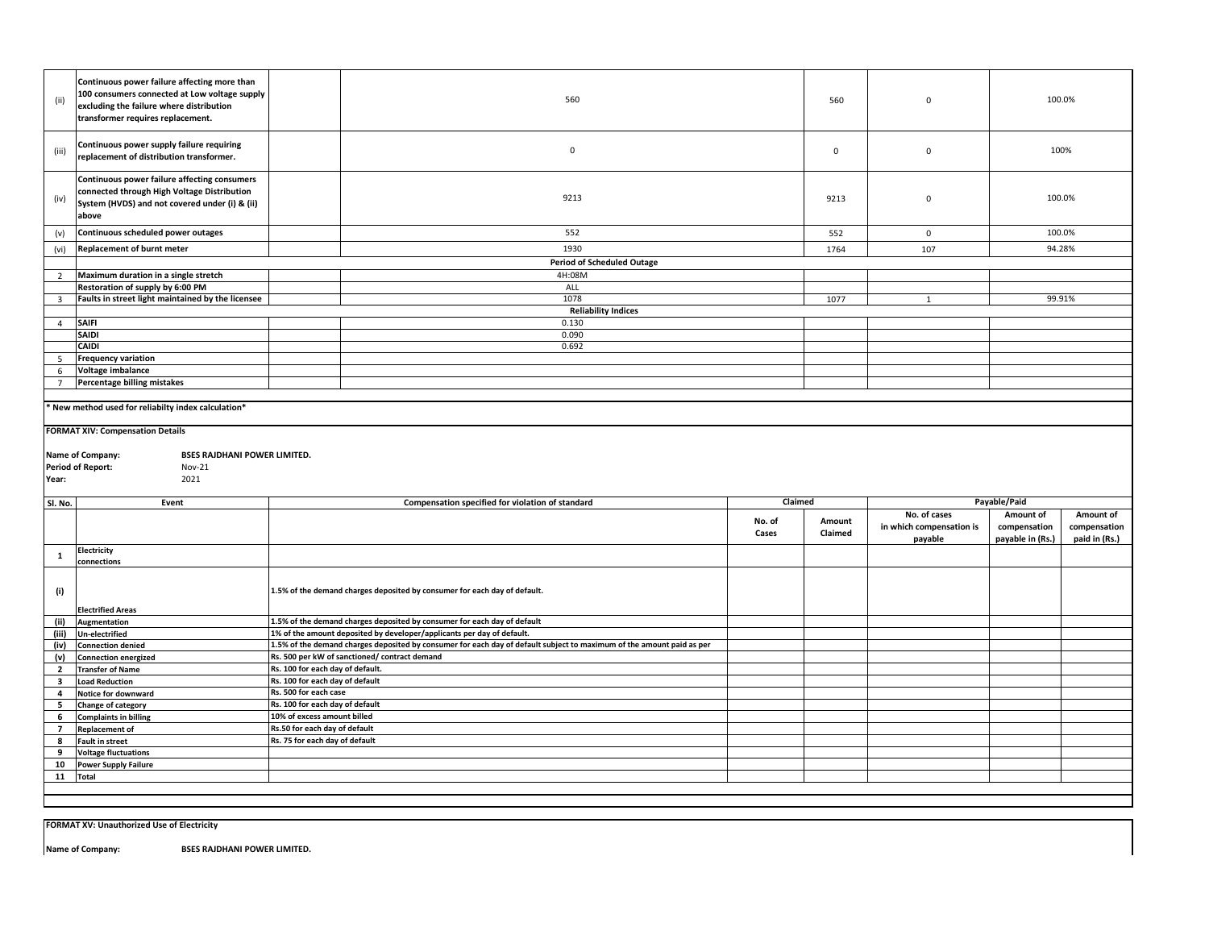| (ii)                    | Continuous power failure affecting more than<br>100 consumers connected at Low voltage supply<br>excluding the failure where distribution<br>transformer requires replacement. |                                  | 560                                                                                                                   |                 | 560               | $\mathbf 0$                                         |                                               | 100.0%                                     |
|-------------------------|--------------------------------------------------------------------------------------------------------------------------------------------------------------------------------|----------------------------------|-----------------------------------------------------------------------------------------------------------------------|-----------------|-------------------|-----------------------------------------------------|-----------------------------------------------|--------------------------------------------|
| (iii)                   | Continuous power supply failure requiring<br>replacement of distribution transformer.                                                                                          |                                  | $\mathbf 0$                                                                                                           |                 | $\mathsf 0$       | $\pmb{0}$                                           |                                               | 100%                                       |
| (iv)                    | Continuous power failure affecting consumers<br>connected through High Voltage Distribution<br>System (HVDS) and not covered under (i) & (ii)<br>above                         |                                  | 9213                                                                                                                  |                 | 9213              | $\mathbf 0$                                         |                                               | 100.0%                                     |
| (v)                     | Continuous scheduled power outages                                                                                                                                             |                                  | 552                                                                                                                   |                 | 552               | $\mathbf 0$                                         | 100.0%                                        |                                            |
| (vi)                    | <b>Replacement of burnt meter</b>                                                                                                                                              |                                  | 1930                                                                                                                  |                 | 1764              | 107                                                 |                                               | 94.28%                                     |
|                         |                                                                                                                                                                                |                                  | <b>Period of Scheduled Outage</b>                                                                                     |                 |                   |                                                     |                                               |                                            |
| $\overline{2}$          | Maximum duration in a single stretch                                                                                                                                           |                                  | 4H:08M                                                                                                                |                 |                   |                                                     |                                               |                                            |
|                         | Restoration of supply by 6:00 PM                                                                                                                                               |                                  | ALL                                                                                                                   |                 |                   |                                                     |                                               |                                            |
| $\overline{\mathbf{3}}$ | Faults in street light maintained by the licensee                                                                                                                              |                                  | 1078                                                                                                                  |                 | 1077              | $\mathbf{1}$                                        |                                               | 99.91%                                     |
|                         | <b>SAIFI</b>                                                                                                                                                                   |                                  | <b>Reliability Indices</b><br>0.130                                                                                   |                 |                   |                                                     |                                               |                                            |
| $\overline{4}$          | <b>SAIDI</b>                                                                                                                                                                   |                                  | 0.090                                                                                                                 |                 |                   |                                                     |                                               |                                            |
|                         | <b>CAIDI</b>                                                                                                                                                                   |                                  | 0.692                                                                                                                 |                 |                   |                                                     |                                               |                                            |
| 5 <sub>5</sub>          | <b>Frequency variation</b>                                                                                                                                                     |                                  |                                                                                                                       |                 |                   |                                                     |                                               |                                            |
| 6                       | Voltage imbalance                                                                                                                                                              |                                  |                                                                                                                       |                 |                   |                                                     |                                               |                                            |
| $7^{\circ}$             | Percentage billing mistakes                                                                                                                                                    |                                  |                                                                                                                       |                 |                   |                                                     |                                               |                                            |
|                         |                                                                                                                                                                                |                                  |                                                                                                                       |                 |                   |                                                     |                                               |                                            |
|                         | New method used for reliabilty index calculation*                                                                                                                              |                                  |                                                                                                                       |                 |                   |                                                     |                                               |                                            |
|                         |                                                                                                                                                                                |                                  |                                                                                                                       |                 |                   |                                                     |                                               |                                            |
|                         |                                                                                                                                                                                |                                  |                                                                                                                       |                 |                   |                                                     |                                               |                                            |
|                         | <b>FORMAT XIV: Compensation Details</b>                                                                                                                                        |                                  |                                                                                                                       |                 |                   |                                                     |                                               |                                            |
|                         | <b>BSES RAJDHANI POWER LIMITED.</b>                                                                                                                                            |                                  |                                                                                                                       |                 |                   |                                                     |                                               |                                            |
|                         | Name of Company:<br><b>Period of Report:</b><br><b>Nov-21</b>                                                                                                                  |                                  |                                                                                                                       |                 |                   |                                                     |                                               |                                            |
| Year:                   | 2021                                                                                                                                                                           |                                  |                                                                                                                       |                 |                   |                                                     |                                               |                                            |
|                         |                                                                                                                                                                                |                                  |                                                                                                                       |                 |                   |                                                     |                                               |                                            |
| SI. No.                 | Event                                                                                                                                                                          |                                  | Compensation specified for violation of standard                                                                      | Claimed         |                   |                                                     | Payable/Paid                                  |                                            |
|                         |                                                                                                                                                                                |                                  |                                                                                                                       | No. of<br>Cases | Amount<br>Claimed | No. of cases<br>in which compensation is<br>payable | Amount of<br>compensation<br>payable in (Rs.) | Amount of<br>compensation<br>paid in (Rs.) |
|                         | Electricity                                                                                                                                                                    |                                  |                                                                                                                       |                 |                   |                                                     |                                               |                                            |
| 1                       | connections                                                                                                                                                                    |                                  |                                                                                                                       |                 |                   |                                                     |                                               |                                            |
|                         |                                                                                                                                                                                |                                  |                                                                                                                       |                 |                   |                                                     |                                               |                                            |
| (i)                     |                                                                                                                                                                                |                                  | 1.5% of the demand charges deposited by consumer for each day of default.                                             |                 |                   |                                                     |                                               |                                            |
|                         |                                                                                                                                                                                |                                  |                                                                                                                       |                 |                   |                                                     |                                               |                                            |
|                         | <b>Electrified Areas</b>                                                                                                                                                       |                                  | 1.5% of the demand charges deposited by consumer for each day of default                                              |                 |                   |                                                     |                                               |                                            |
| (iii)                   | (ii) Augmentation<br><b>Un-electrified</b>                                                                                                                                     |                                  | 1% of the amount deposited by developer/applicants per day of default.                                                |                 |                   |                                                     |                                               |                                            |
| (iv)                    | <b>Connection denied</b>                                                                                                                                                       |                                  | 1.5% of the demand charges deposited by consumer for each day of default subject to maximum of the amount paid as per |                 |                   |                                                     |                                               |                                            |
| (v)                     | <b>Connection energized</b>                                                                                                                                                    |                                  | Rs. 500 per kW of sanctioned/ contract demand                                                                         |                 |                   |                                                     |                                               |                                            |
| $\overline{2}$          | <b>Transfer of Name</b>                                                                                                                                                        | Rs. 100 for each day of default. |                                                                                                                       |                 |                   |                                                     |                                               |                                            |
| $\overline{\mathbf{3}}$ | <b>Load Reduction</b>                                                                                                                                                          | Rs. 100 for each day of default  |                                                                                                                       |                 |                   |                                                     |                                               |                                            |
| $\overline{a}$          | Notice for downward                                                                                                                                                            | Rs. 500 for each case            |                                                                                                                       |                 |                   |                                                     |                                               |                                            |
| 5                       | Change of category                                                                                                                                                             | Rs. 100 for each day of default  |                                                                                                                       |                 |                   |                                                     |                                               |                                            |
| 6                       | <b>Complaints in billing</b>                                                                                                                                                   | 10% of excess amount billed      |                                                                                                                       |                 |                   |                                                     |                                               |                                            |
| $\overline{7}$          | <b>Replacement of</b>                                                                                                                                                          | Rs.50 for each day of default    |                                                                                                                       |                 |                   |                                                     |                                               |                                            |
| 8                       | <b>Fault in street</b>                                                                                                                                                         | Rs. 75 for each day of default   |                                                                                                                       |                 |                   |                                                     |                                               |                                            |
| 9                       | <b>Voltage fluctuations</b>                                                                                                                                                    |                                  |                                                                                                                       |                 |                   |                                                     |                                               |                                            |
| 10                      | <b>Power Supply Failure</b>                                                                                                                                                    |                                  |                                                                                                                       |                 |                   |                                                     |                                               |                                            |
|                         | 11 Total                                                                                                                                                                       |                                  |                                                                                                                       |                 |                   |                                                     |                                               |                                            |

**FORMAT XV: Unauthorized Use of Electricity**

**Name of Company: BSES RAJDHANI POWER LIMITED.**